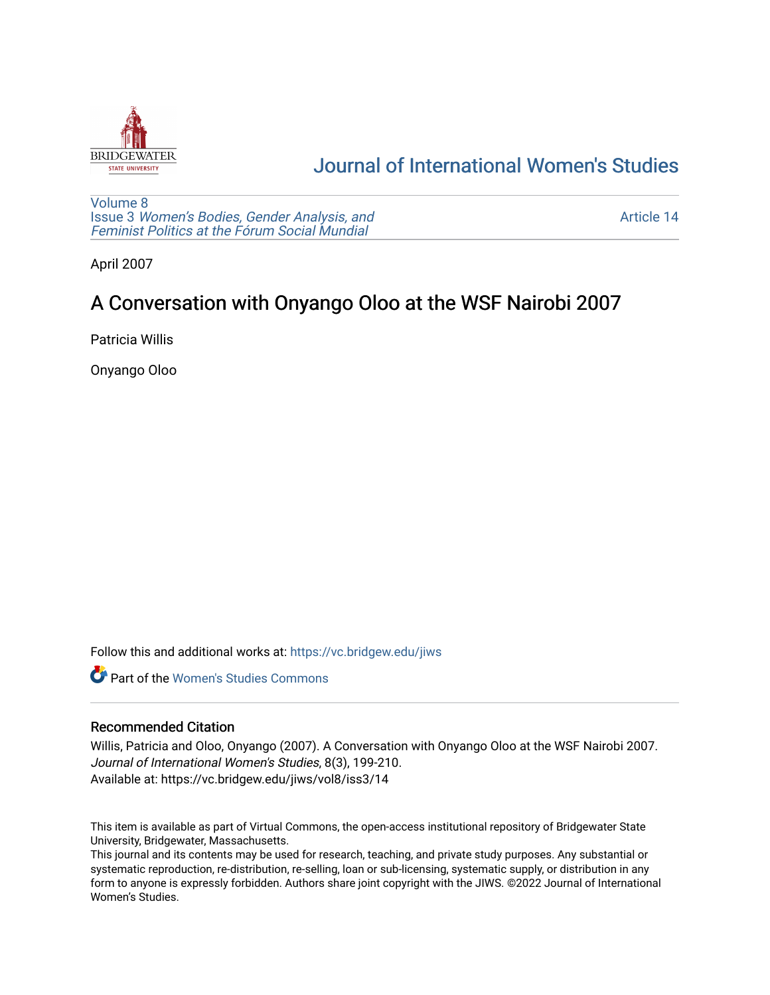

# [Journal of International Women's Studies](https://vc.bridgew.edu/jiws)

[Volume 8](https://vc.bridgew.edu/jiws/vol8) Issue 3 [Women's Bodies, Gender Analysis, and](https://vc.bridgew.edu/jiws/vol8/iss3) [Feminist Politics at the Fórum Social Mundial](https://vc.bridgew.edu/jiws/vol8/iss3)

[Article 14](https://vc.bridgew.edu/jiws/vol8/iss3/14) 

April 2007

# A Conversation with Onyango Oloo at the WSF Nairobi 2007

Patricia Willis

Onyango Oloo

Follow this and additional works at: [https://vc.bridgew.edu/jiws](https://vc.bridgew.edu/jiws?utm_source=vc.bridgew.edu%2Fjiws%2Fvol8%2Fiss3%2F14&utm_medium=PDF&utm_campaign=PDFCoverPages)

**C** Part of the Women's Studies Commons

## Recommended Citation

Willis, Patricia and Oloo, Onyango (2007). A Conversation with Onyango Oloo at the WSF Nairobi 2007. Journal of International Women's Studies, 8(3), 199-210. Available at: https://vc.bridgew.edu/jiws/vol8/iss3/14

This item is available as part of Virtual Commons, the open-access institutional repository of Bridgewater State University, Bridgewater, Massachusetts.

This journal and its contents may be used for research, teaching, and private study purposes. Any substantial or systematic reproduction, re-distribution, re-selling, loan or sub-licensing, systematic supply, or distribution in any form to anyone is expressly forbidden. Authors share joint copyright with the JIWS. ©2022 Journal of International Women's Studies.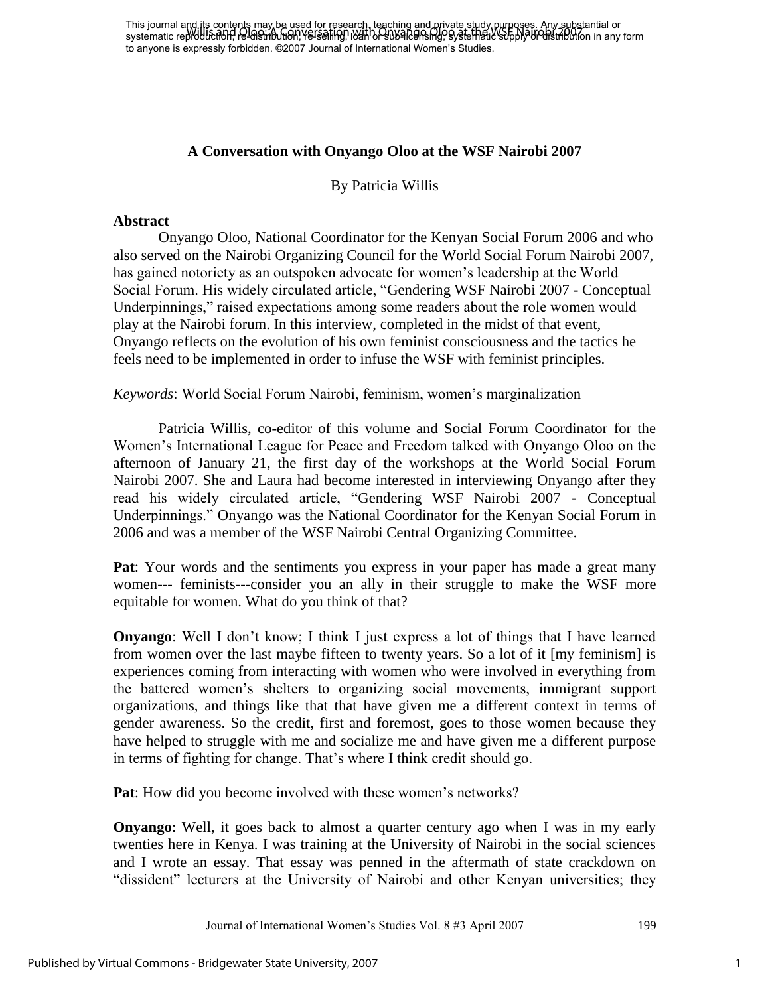This journal and its contents may be used for research, teaching and private study purposes. Any substantial or This journal and the concentration, re-selling, its called the Monte Structure of Nair 1998 and Oloo at the WSF Nairobi 2007<br>Systematic reproduction, re-distribution, re-selling, its and on sub-licensing, systematic supply to anyone is expressly forbidden. ©2007 Journal of International Women's Studies.

## **A Conversation with Onyango Oloo at the WSF Nairobi 2007**

By Patricia Willis

#### **Abstract**

 Onyango Oloo, National Coordinator for the Kenyan Social Forum 2006 and who also served on the Nairobi Organizing Council for the World Social Forum Nairobi 2007, has gained notoriety as an outspoken advocate for women's leadership at the World Social Forum. His widely circulated article, "Gendering WSF Nairobi 2007 - Conceptual Underpinnings," raised expectations among some readers about the role women would play at the Nairobi forum. In this interview, completed in the midst of that event, Onyango reflects on the evolution of his own feminist consciousness and the tactics he feels need to be implemented in order to infuse the WSF with feminist principles.

*Keywords*: World Social Forum Nairobi, feminism, women's marginalization

 Patricia Willis, co-editor of this volume and Social Forum Coordinator for the Women's International League for Peace and Freedom talked with Onyango Oloo on the afternoon of January 21, the first day of the workshops at the World Social Forum Nairobi 2007. She and Laura had become interested in interviewing Onyango after they read his widely circulated article, "Gendering WSF Nairobi 2007 - Conceptual Underpinnings." Onyango was the National Coordinator for the Kenyan Social Forum in 2006 and was a member of the WSF Nairobi Central Organizing Committee.

**Pat**: Your words and the sentiments you express in your paper has made a great many women--- feminists---consider you an ally in their struggle to make the WSF more equitable for women. What do you think of that?

**Onyango**: Well I don't know; I think I just express a lot of things that I have learned from women over the last maybe fifteen to twenty years. So a lot of it [my feminism] is experiences coming from interacting with women who were involved in everything from the battered women's shelters to organizing social movements, immigrant support organizations, and things like that that have given me a different context in terms of gender awareness. So the credit, first and foremost, goes to those women because they have helped to struggle with me and socialize me and have given me a different purpose in terms of fighting for change. That's where I think credit should go.

**Pat**: How did you become involved with these women's networks?

**Onyango**: Well, it goes back to almost a quarter century ago when I was in my early twenties here in Kenya. I was training at the University of Nairobi in the social sciences and I wrote an essay. That essay was penned in the aftermath of state crackdown on "dissident" lecturers at the University of Nairobi and other Kenyan universities; they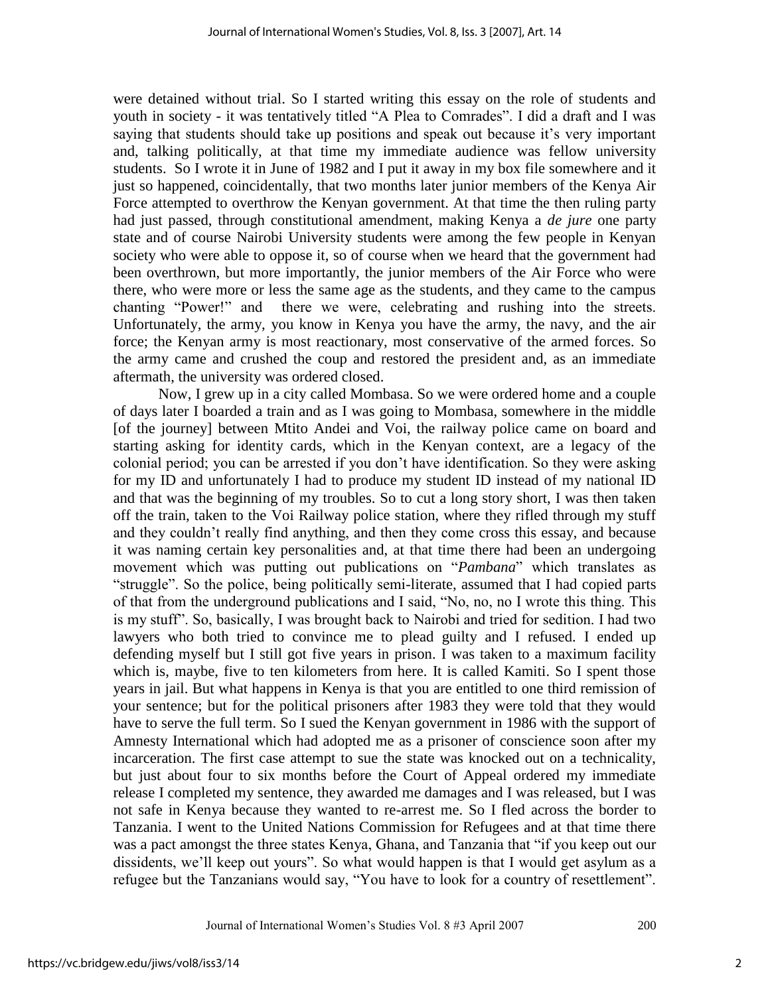were detained without trial. So I started writing this essay on the role of students and youth in society - it was tentatively titled "A Plea to Comrades". I did a draft and I was saying that students should take up positions and speak out because it's very important and, talking politically, at that time my immediate audience was fellow university students. So I wrote it in June of 1982 and I put it away in my box file somewhere and it just so happened, coincidentally, that two months later junior members of the Kenya Air Force attempted to overthrow the Kenyan government. At that time the then ruling party had just passed, through constitutional amendment, making Kenya a *de jure* one party state and of course Nairobi University students were among the few people in Kenyan society who were able to oppose it, so of course when we heard that the government had been overthrown, but more importantly, the junior members of the Air Force who were there, who were more or less the same age as the students, and they came to the campus chanting "Power!" and there we were, celebrating and rushing into the streets. Unfortunately, the army, you know in Kenya you have the army, the navy, and the air force; the Kenyan army is most reactionary, most conservative of the armed forces. So the army came and crushed the coup and restored the president and, as an immediate aftermath, the university was ordered closed.

Now, I grew up in a city called Mombasa. So we were ordered home and a couple of days later I boarded a train and as I was going to Mombasa, somewhere in the middle [of the journey] between Mtito Andei and Voi, the railway police came on board and starting asking for identity cards, which in the Kenyan context, are a legacy of the colonial period; you can be arrested if you don't have identification. So they were asking for my ID and unfortunately I had to produce my student ID instead of my national ID and that was the beginning of my troubles. So to cut a long story short, I was then taken off the train, taken to the Voi Railway police station, where they rifled through my stuff and they couldn't really find anything, and then they come cross this essay, and because it was naming certain key personalities and, at that time there had been an undergoing movement which was putting out publications on "*Pambana*" which translates as "struggle". So the police, being politically semi-literate, assumed that I had copied parts of that from the underground publications and I said, "No, no, no I wrote this thing. This is my stuff". So, basically, I was brought back to Nairobi and tried for sedition. I had two lawyers who both tried to convince me to plead guilty and I refused. I ended up defending myself but I still got five years in prison. I was taken to a maximum facility which is, maybe, five to ten kilometers from here. It is called Kamiti. So I spent those years in jail. But what happens in Kenya is that you are entitled to one third remission of your sentence; but for the political prisoners after 1983 they were told that they would have to serve the full term. So I sued the Kenyan government in 1986 with the support of Amnesty International which had adopted me as a prisoner of conscience soon after my incarceration. The first case attempt to sue the state was knocked out on a technicality, but just about four to six months before the Court of Appeal ordered my immediate release I completed my sentence, they awarded me damages and I was released, but I was not safe in Kenya because they wanted to re-arrest me. So I fled across the border to Tanzania. I went to the United Nations Commission for Refugees and at that time there was a pact amongst the three states Kenya, Ghana, and Tanzania that "if you keep out our dissidents, we'll keep out yours". So what would happen is that I would get asylum as a refugee but the Tanzanians would say, "You have to look for a country of resettlement".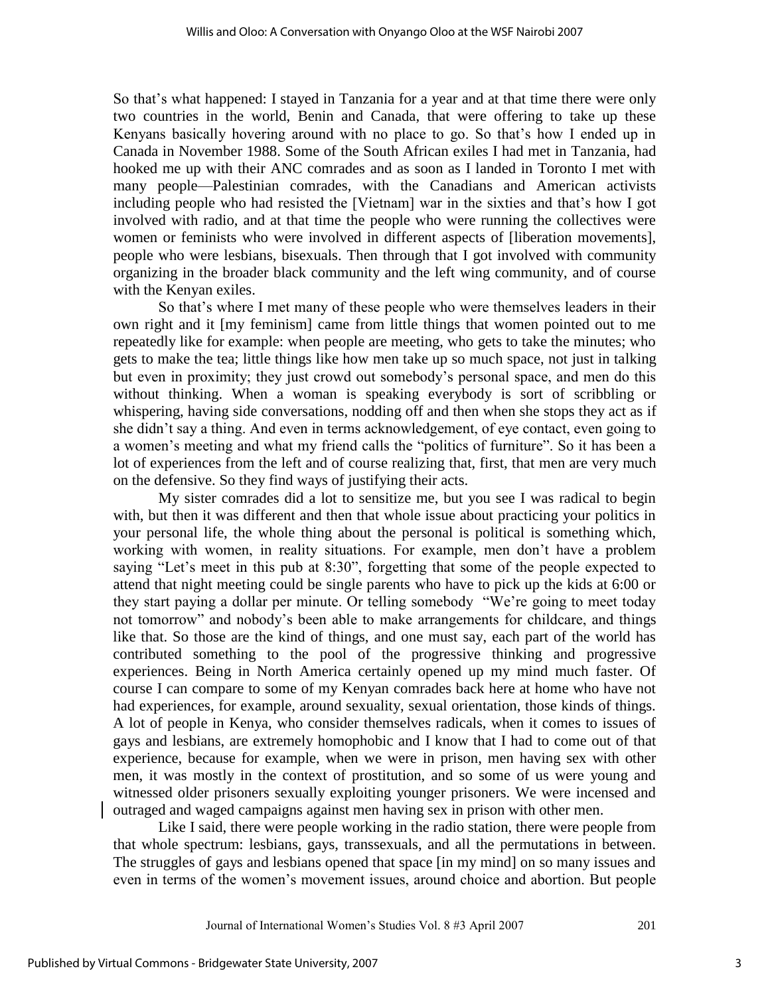So that's what happened: I stayed in Tanzania for a year and at that time there were only two countries in the world, Benin and Canada, that were offering to take up these Kenyans basically hovering around with no place to go. So that's how I ended up in Canada in November 1988. Some of the South African exiles I had met in Tanzania, had hooked me up with their ANC comrades and as soon as I landed in Toronto I met with many people—Palestinian comrades, with the Canadians and American activists including people who had resisted the [Vietnam] war in the sixties and that's how I got involved with radio, and at that time the people who were running the collectives were women or feminists who were involved in different aspects of [liberation movements], people who were lesbians, bisexuals. Then through that I got involved with community organizing in the broader black community and the left wing community, and of course with the Kenyan exiles.

So that's where I met many of these people who were themselves leaders in their own right and it [my feminism] came from little things that women pointed out to me repeatedly like for example: when people are meeting, who gets to take the minutes; who gets to make the tea; little things like how men take up so much space, not just in talking but even in proximity; they just crowd out somebody's personal space, and men do this without thinking. When a woman is speaking everybody is sort of scribbling or whispering, having side conversations, nodding off and then when she stops they act as if she didn't say a thing. And even in terms acknowledgement, of eye contact, even going to a women's meeting and what my friend calls the "politics of furniture". So it has been a lot of experiences from the left and of course realizing that, first, that men are very much on the defensive. So they find ways of justifying their acts.

My sister comrades did a lot to sensitize me, but you see I was radical to begin with, but then it was different and then that whole issue about practicing your politics in your personal life, the whole thing about the personal is political is something which, working with women, in reality situations. For example, men don't have a problem saying "Let's meet in this pub at 8:30", forgetting that some of the people expected to attend that night meeting could be single parents who have to pick up the kids at 6:00 or they start paying a dollar per minute. Or telling somebody "We're going to meet today not tomorrow" and nobody's been able to make arrangements for childcare, and things like that. So those are the kind of things, and one must say, each part of the world has contributed something to the pool of the progressive thinking and progressive experiences. Being in North America certainly opened up my mind much faster. Of course I can compare to some of my Kenyan comrades back here at home who have not had experiences, for example, around sexuality, sexual orientation, those kinds of things. A lot of people in Kenya, who consider themselves radicals, when it comes to issues of gays and lesbians, are extremely homophobic and I know that I had to come out of that experience, because for example, when we were in prison, men having sex with other men, it was mostly in the context of prostitution, and so some of us were young and witnessed older prisoners sexually exploiting younger prisoners. We were incensed and outraged and waged campaigns against men having sex in prison with other men.

Like I said, there were people working in the radio station, there were people from that whole spectrum: lesbians, gays, transsexuals, and all the permutations in between. The struggles of gays and lesbians opened that space [in my mind] on so many issues and even in terms of the women's movement issues, around choice and abortion. But people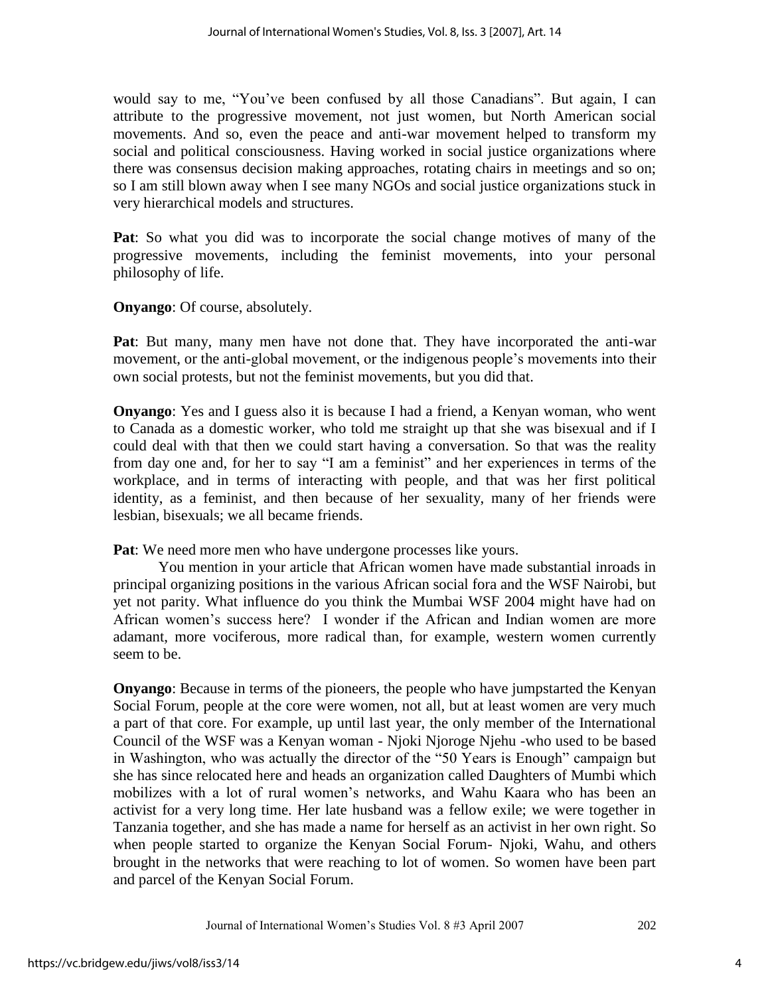would say to me, "You've been confused by all those Canadians". But again, I can attribute to the progressive movement, not just women, but North American social movements. And so, even the peace and anti-war movement helped to transform my social and political consciousness. Having worked in social justice organizations where there was consensus decision making approaches, rotating chairs in meetings and so on; so I am still blown away when I see many NGOs and social justice organizations stuck in very hierarchical models and structures.

**Pat**: So what you did was to incorporate the social change motives of many of the progressive movements, including the feminist movements, into your personal philosophy of life.

**Onyango**: Of course, absolutely.

**Pat**: But many, many men have not done that. They have incorporated the anti-war movement, or the anti-global movement, or the indigenous people's movements into their own social protests, but not the feminist movements, but you did that.

**Onyango**: Yes and I guess also it is because I had a friend, a Kenyan woman, who went to Canada as a domestic worker, who told me straight up that she was bisexual and if I could deal with that then we could start having a conversation. So that was the reality from day one and, for her to say "I am a feminist" and her experiences in terms of the workplace, and in terms of interacting with people, and that was her first political identity, as a feminist, and then because of her sexuality, many of her friends were lesbian, bisexuals; we all became friends.

**Pat**: We need more men who have undergone processes like yours.

You mention in your article that African women have made substantial inroads in principal organizing positions in the various African social fora and the WSF Nairobi, but yet not parity. What influence do you think the Mumbai WSF 2004 might have had on African women's success here? I wonder if the African and Indian women are more adamant, more vociferous, more radical than, for example, western women currently seem to be.

**Onyango**: Because in terms of the pioneers, the people who have jumpstarted the Kenyan Social Forum, people at the core were women, not all, but at least women are very much a part of that core. For example, up until last year, the only member of the International Council of the WSF was a Kenyan woman - Njoki Njoroge Njehu -who used to be based in Washington, who was actually the director of the "50 Years is Enough" campaign but she has since relocated here and heads an organization called Daughters of Mumbi which mobilizes with a lot of rural women's networks, and Wahu Kaara who has been an activist for a very long time. Her late husband was a fellow exile; we were together in Tanzania together, and she has made a name for herself as an activist in her own right. So when people started to organize the Kenyan Social Forum- Njoki, Wahu, and others brought in the networks that were reaching to lot of women. So women have been part and parcel of the Kenyan Social Forum.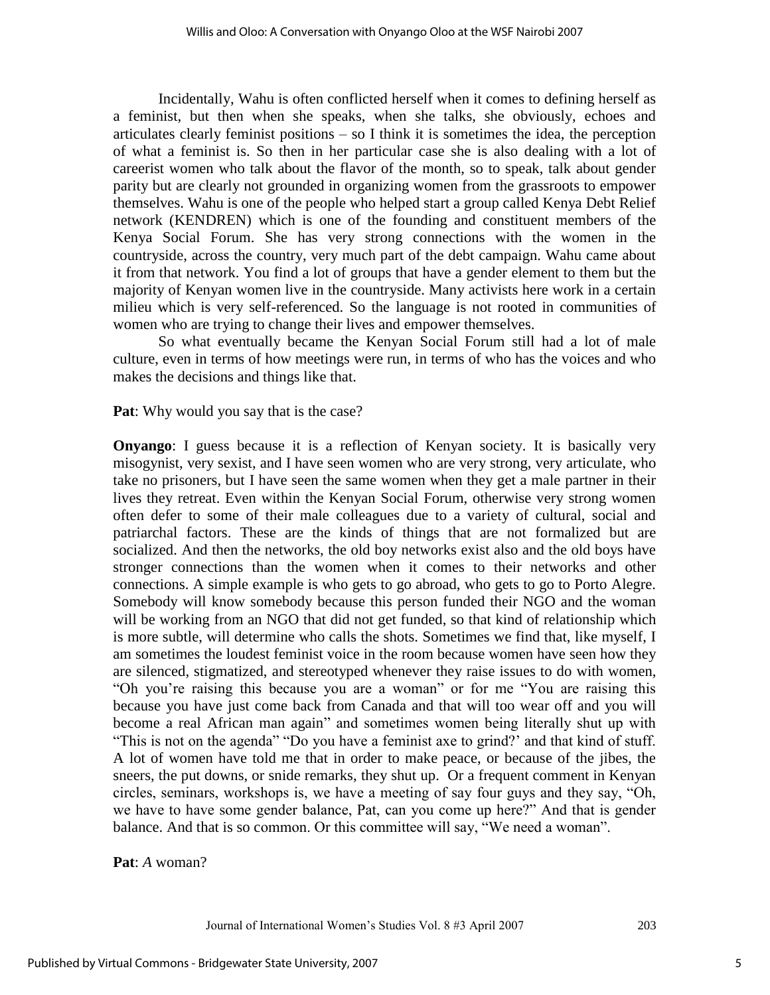Incidentally, Wahu is often conflicted herself when it comes to defining herself as a feminist, but then when she speaks, when she talks, she obviously, echoes and articulates clearly feminist positions – so I think it is sometimes the idea, the perception of what a feminist is. So then in her particular case she is also dealing with a lot of careerist women who talk about the flavor of the month, so to speak, talk about gender parity but are clearly not grounded in organizing women from the grassroots to empower themselves. Wahu is one of the people who helped start a group called Kenya Debt Relief network (KENDREN) which is one of the founding and constituent members of the Kenya Social Forum. She has very strong connections with the women in the countryside, across the country, very much part of the debt campaign. Wahu came about it from that network. You find a lot of groups that have a gender element to them but the majority of Kenyan women live in the countryside. Many activists here work in a certain milieu which is very self-referenced. So the language is not rooted in communities of women who are trying to change their lives and empower themselves.

 So what eventually became the Kenyan Social Forum still had a lot of male culture, even in terms of how meetings were run, in terms of who has the voices and who makes the decisions and things like that.

**Pat:** Why would you say that is the case?

**Onyango**: I guess because it is a reflection of Kenyan society. It is basically very misogynist, very sexist, and I have seen women who are very strong, very articulate, who take no prisoners, but I have seen the same women when they get a male partner in their lives they retreat. Even within the Kenyan Social Forum, otherwise very strong women often defer to some of their male colleagues due to a variety of cultural, social and patriarchal factors. These are the kinds of things that are not formalized but are socialized. And then the networks, the old boy networks exist also and the old boys have stronger connections than the women when it comes to their networks and other connections. A simple example is who gets to go abroad, who gets to go to Porto Alegre. Somebody will know somebody because this person funded their NGO and the woman will be working from an NGO that did not get funded, so that kind of relationship which is more subtle, will determine who calls the shots. Sometimes we find that, like myself, I am sometimes the loudest feminist voice in the room because women have seen how they are silenced, stigmatized, and stereotyped whenever they raise issues to do with women, "Oh you're raising this because you are a woman" or for me "You are raising this because you have just come back from Canada and that will too wear off and you will become a real African man again" and sometimes women being literally shut up with "This is not on the agenda" "Do you have a feminist axe to grind?" and that kind of stuff. A lot of women have told me that in order to make peace, or because of the jibes, the sneers, the put downs, or snide remarks, they shut up. Or a frequent comment in Kenyan circles, seminars, workshops is, we have a meeting of say four guys and they say, "Oh, we have to have some gender balance, Pat, can you come up here?" And that is gender balance. And that is so common. Or this committee will say, "We need a woman".

**Pat**: *A* woman?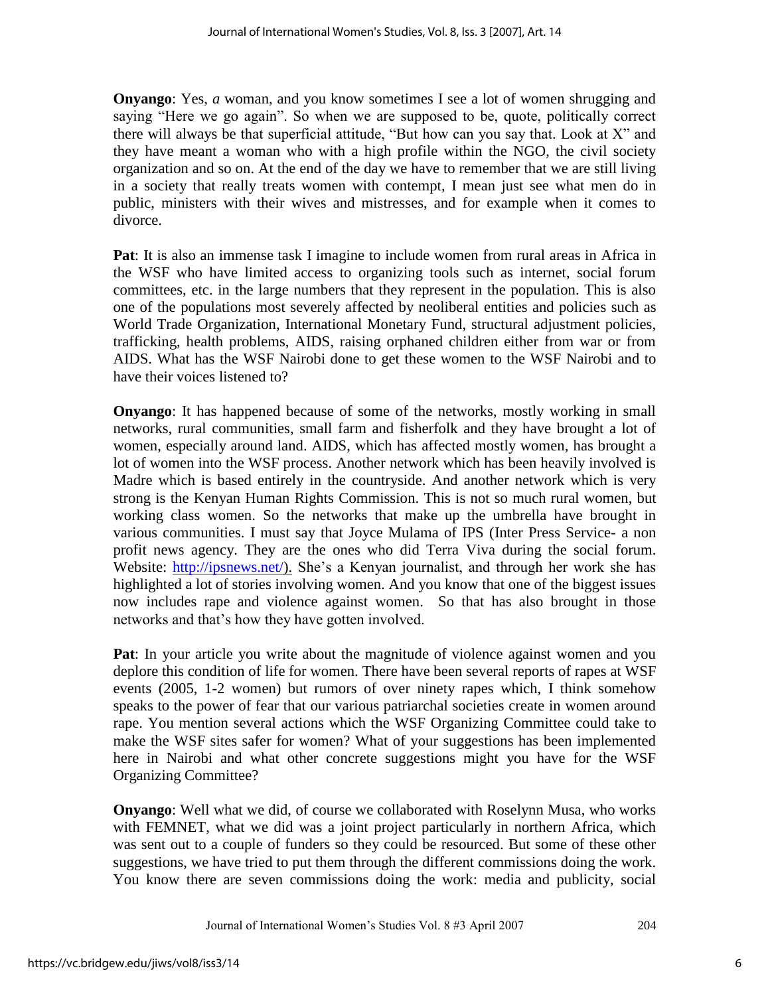**Onyango**: Yes, *a* woman, and you know sometimes I see a lot of women shrugging and saying "Here we go again". So when we are supposed to be, quote, politically correct there will always be that superficial attitude, "But how can you say that. Look at  $X$ " and they have meant a woman who with a high profile within the NGO, the civil society organization and so on. At the end of the day we have to remember that we are still living in a society that really treats women with contempt, I mean just see what men do in public, ministers with their wives and mistresses, and for example when it comes to divorce.

**Pat**: It is also an immense task I imagine to include women from rural areas in Africa in the WSF who have limited access to organizing tools such as internet, social forum committees, etc. in the large numbers that they represent in the population. This is also one of the populations most severely affected by neoliberal entities and policies such as World Trade Organization, International Monetary Fund, structural adjustment policies, trafficking, health problems, AIDS, raising orphaned children either from war or from AIDS. What has the WSF Nairobi done to get these women to the WSF Nairobi and to have their voices listened to?

**Onyango**: It has happened because of some of the networks, mostly working in small networks, rural communities, small farm and fisherfolk and they have brought a lot of women, especially around land. AIDS, which has affected mostly women, has brought a lot of women into the WSF process. Another network which has been heavily involved is Madre which is based entirely in the countryside. And another network which is very strong is the Kenyan Human Rights Commission. This is not so much rural women, but working class women. So the networks that make up the umbrella have brought in various communities. I must say that Joyce Mulama of IPS (Inter Press Service- a non profit news agency. They are the ones who did Terra Viva during the social forum. Website: [http://ipsnews.net/\)](http://ipsnews.net/). She's a Kenyan journalist, and through her work she has highlighted a lot of stories involving women. And you know that one of the biggest issues now includes rape and violence against women. So that has also brought in those networks and that's how they have gotten involved.

**Pat**: In your article you write about the magnitude of violence against women and you deplore this condition of life for women. There have been several reports of rapes at WSF events (2005, 1-2 women) but rumors of over ninety rapes which, I think somehow speaks to the power of fear that our various patriarchal societies create in women around rape. You mention several actions which the WSF Organizing Committee could take to make the WSF sites safer for women? What of your suggestions has been implemented here in Nairobi and what other concrete suggestions might you have for the WSF Organizing Committee?

**Onyango**: Well what we did, of course we collaborated with Roselynn Musa, who works with FEMNET, what we did was a joint project particularly in northern Africa, which was sent out to a couple of funders so they could be resourced. But some of these other suggestions, we have tried to put them through the different commissions doing the work. You know there are seven commissions doing the work: media and publicity, social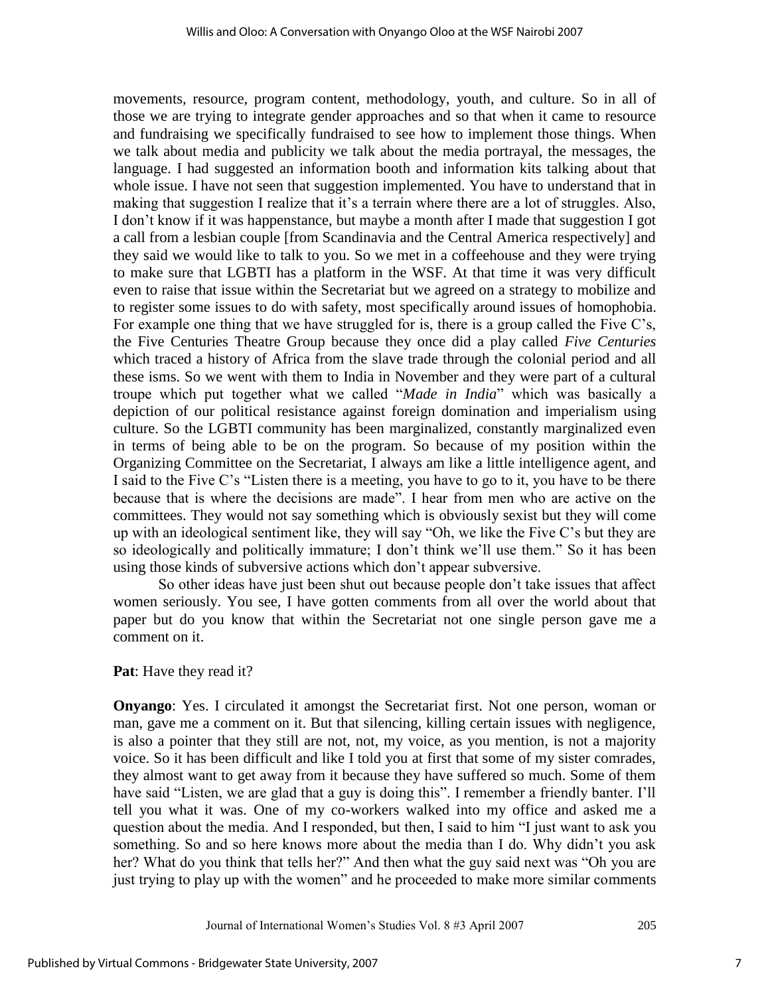movements, resource, program content, methodology, youth, and culture. So in all of those we are trying to integrate gender approaches and so that when it came to resource and fundraising we specifically fundraised to see how to implement those things. When we talk about media and publicity we talk about the media portrayal, the messages, the language. I had suggested an information booth and information kits talking about that whole issue. I have not seen that suggestion implemented. You have to understand that in making that suggestion I realize that it's a terrain where there are a lot of struggles. Also, I don't know if it was happenstance, but maybe a month after I made that suggestion I got a call from a lesbian couple [from Scandinavia and the Central America respectively] and they said we would like to talk to you. So we met in a coffeehouse and they were trying to make sure that LGBTI has a platform in the WSF. At that time it was very difficult even to raise that issue within the Secretariat but we agreed on a strategy to mobilize and to register some issues to do with safety, most specifically around issues of homophobia. For example one thing that we have struggled for is, there is a group called the Five C's, the Five Centuries Theatre Group because they once did a play called *Five Centuries* which traced a history of Africa from the slave trade through the colonial period and all these isms. So we went with them to India in November and they were part of a cultural troupe which put together what we called "*Made in India*" which was basically a depiction of our political resistance against foreign domination and imperialism using culture. So the LGBTI community has been marginalized, constantly marginalized even in terms of being able to be on the program. So because of my position within the Organizing Committee on the Secretariat, I always am like a little intelligence agent, and I said to the Five C's "Listen there is a meeting, you have to go to it, you have to be there because that is where the decisions are made". I hear from men who are active on the committees. They would not say something which is obviously sexist but they will come up with an ideological sentiment like, they will say "Oh, we like the Five C's but they are so ideologically and politically immature; I don't think we'll use them." So it has been using those kinds of subversive actions which don't appear subversive.

So other ideas have just been shut out because people don't take issues that affect women seriously. You see, I have gotten comments from all over the world about that paper but do you know that within the Secretariat not one single person gave me a comment on it.

## **Pat**: Have they read it?

**Onyango**: Yes. I circulated it amongst the Secretariat first. Not one person, woman or man, gave me a comment on it. But that silencing, killing certain issues with negligence, is also a pointer that they still are not, not, my voice, as you mention, is not a majority voice. So it has been difficult and like I told you at first that some of my sister comrades, they almost want to get away from it because they have suffered so much. Some of them have said "Listen, we are glad that a guy is doing this". I remember a friendly banter. I'll tell you what it was. One of my co-workers walked into my office and asked me a question about the media. And I responded, but then, I said to him "I just want to ask you something. So and so here knows more about the media than I do. Why didn't you ask her? What do you think that tells her?" And then what the guy said next was "Oh you are just trying to play up with the women" and he proceeded to make more similar comments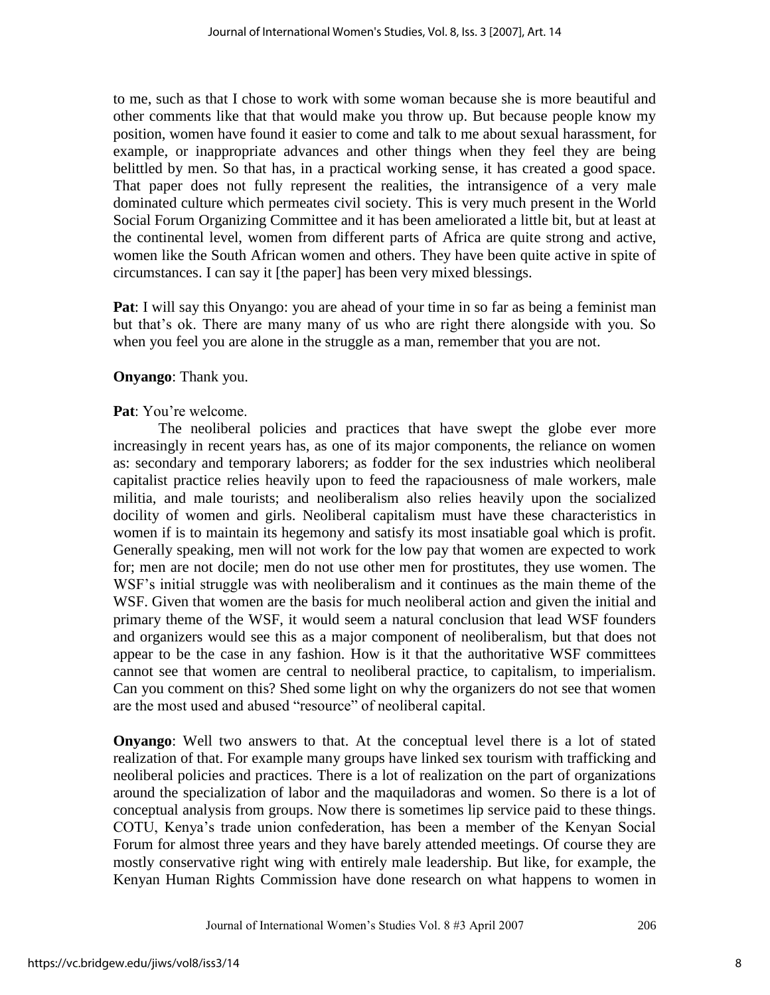to me, such as that I chose to work with some woman because she is more beautiful and other comments like that that would make you throw up. But because people know my position, women have found it easier to come and talk to me about sexual harassment, for example, or inappropriate advances and other things when they feel they are being belittled by men. So that has, in a practical working sense, it has created a good space. That paper does not fully represent the realities, the intransigence of a very male dominated culture which permeates civil society. This is very much present in the World Social Forum Organizing Committee and it has been ameliorated a little bit, but at least at the continental level, women from different parts of Africa are quite strong and active, women like the South African women and others. They have been quite active in spite of circumstances. I can say it [the paper] has been very mixed blessings.

**Pat**: I will say this Onyango: you are ahead of your time in so far as being a feminist man but that's ok. There are many many of us who are right there alongside with you. So when you feel you are alone in the struggle as a man, remember that you are not.

# **Onyango**: Thank you.

# **Pat**: You're welcome.

 The neoliberal policies and practices that have swept the globe ever more increasingly in recent years has, as one of its major components, the reliance on women as: secondary and temporary laborers; as fodder for the sex industries which neoliberal capitalist practice relies heavily upon to feed the rapaciousness of male workers, male militia, and male tourists; and neoliberalism also relies heavily upon the socialized docility of women and girls. Neoliberal capitalism must have these characteristics in women if is to maintain its hegemony and satisfy its most insatiable goal which is profit. Generally speaking, men will not work for the low pay that women are expected to work for; men are not docile; men do not use other men for prostitutes, they use women. The WSF's initial struggle was with neoliberalism and it continues as the main theme of the WSF. Given that women are the basis for much neoliberal action and given the initial and primary theme of the WSF, it would seem a natural conclusion that lead WSF founders and organizers would see this as a major component of neoliberalism, but that does not appear to be the case in any fashion. How is it that the authoritative WSF committees cannot see that women are central to neoliberal practice, to capitalism, to imperialism. Can you comment on this? Shed some light on why the organizers do not see that women are the most used and abused "resource" of neoliberal capital.

**Onyango**: Well two answers to that. At the conceptual level there is a lot of stated realization of that. For example many groups have linked sex tourism with trafficking and neoliberal policies and practices. There is a lot of realization on the part of organizations around the specialization of labor and the maquiladoras and women. So there is a lot of conceptual analysis from groups. Now there is sometimes lip service paid to these things. COTU, Kenya's trade union confederation, has been a member of the Kenyan Social Forum for almost three years and they have barely attended meetings. Of course they are mostly conservative right wing with entirely male leadership. But like, for example, the Kenyan Human Rights Commission have done research on what happens to women in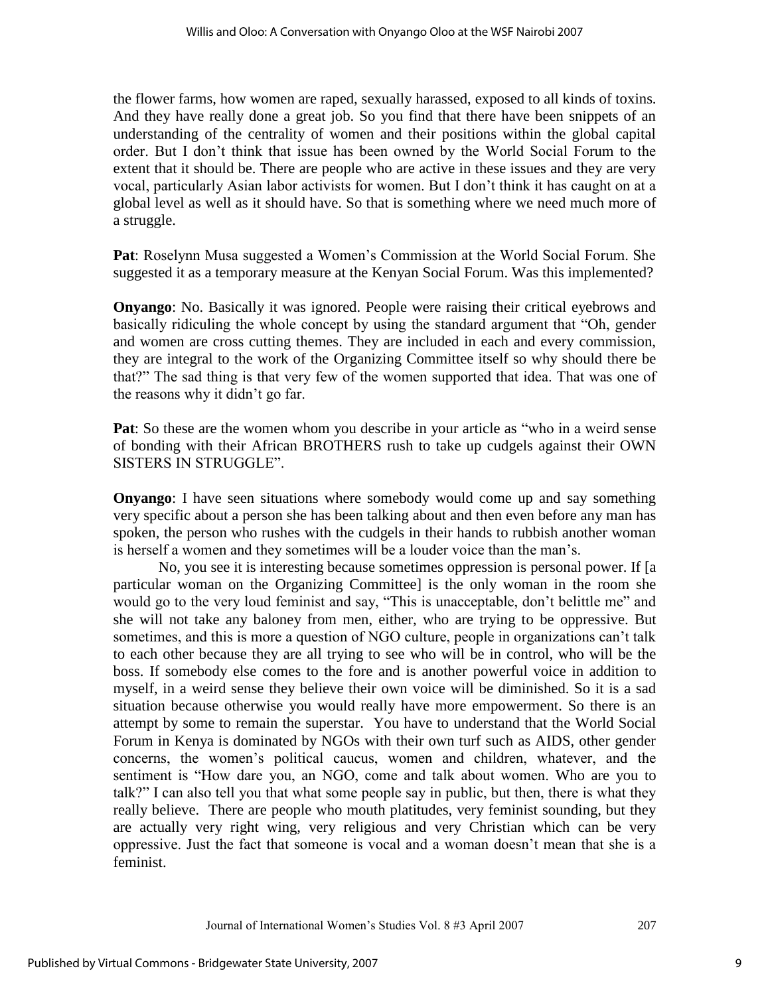the flower farms, how women are raped, sexually harassed, exposed to all kinds of toxins. And they have really done a great job. So you find that there have been snippets of an understanding of the centrality of women and their positions within the global capital order. But I don't think that issue has been owned by the World Social Forum to the extent that it should be. There are people who are active in these issues and they are very vocal, particularly Asian labor activists for women. But I don't think it has caught on at a global level as well as it should have. So that is something where we need much more of a struggle.

**Pat**: Roselynn Musa suggested a Women's Commission at the World Social Forum. She suggested it as a temporary measure at the Kenyan Social Forum. Was this implemented?

**Onyango**: No. Basically it was ignored. People were raising their critical eyebrows and basically ridiculing the whole concept by using the standard argument that "Oh, gender and women are cross cutting themes. They are included in each and every commission, they are integral to the work of the Organizing Committee itself so why should there be that?" The sad thing is that very few of the women supported that idea. That was one of the reasons why it didn't go far.

**Pat**: So these are the women whom you describe in your article as "who in a weird sense of bonding with their African BROTHERS rush to take up cudgels against their OWN SISTERS IN STRUGGLE".

**Onyango**: I have seen situations where somebody would come up and say something very specific about a person she has been talking about and then even before any man has spoken, the person who rushes with the cudgels in their hands to rubbish another woman is herself a women and they sometimes will be a louder voice than the man's.

 No, you see it is interesting because sometimes oppression is personal power. If [a particular woman on the Organizing Committee] is the only woman in the room she would go to the very loud feminist and say, "This is unacceptable, don't belittle me" and she will not take any baloney from men, either, who are trying to be oppressive. But sometimes, and this is more a question of NGO culture, people in organizations can't talk to each other because they are all trying to see who will be in control, who will be the boss. If somebody else comes to the fore and is another powerful voice in addition to myself, in a weird sense they believe their own voice will be diminished. So it is a sad situation because otherwise you would really have more empowerment. So there is an attempt by some to remain the superstar. You have to understand that the World Social Forum in Kenya is dominated by NGOs with their own turf such as AIDS, other gender concerns, the women's political caucus, women and children, whatever, and the sentiment is "How dare you, an NGO, come and talk about women. Who are you to talk?" I can also tell you that what some people say in public, but then, there is what they really believe. There are people who mouth platitudes, very feminist sounding, but they are actually very right wing, very religious and very Christian which can be very oppressive. Just the fact that someone is vocal and a woman doesn't mean that she is a feminist.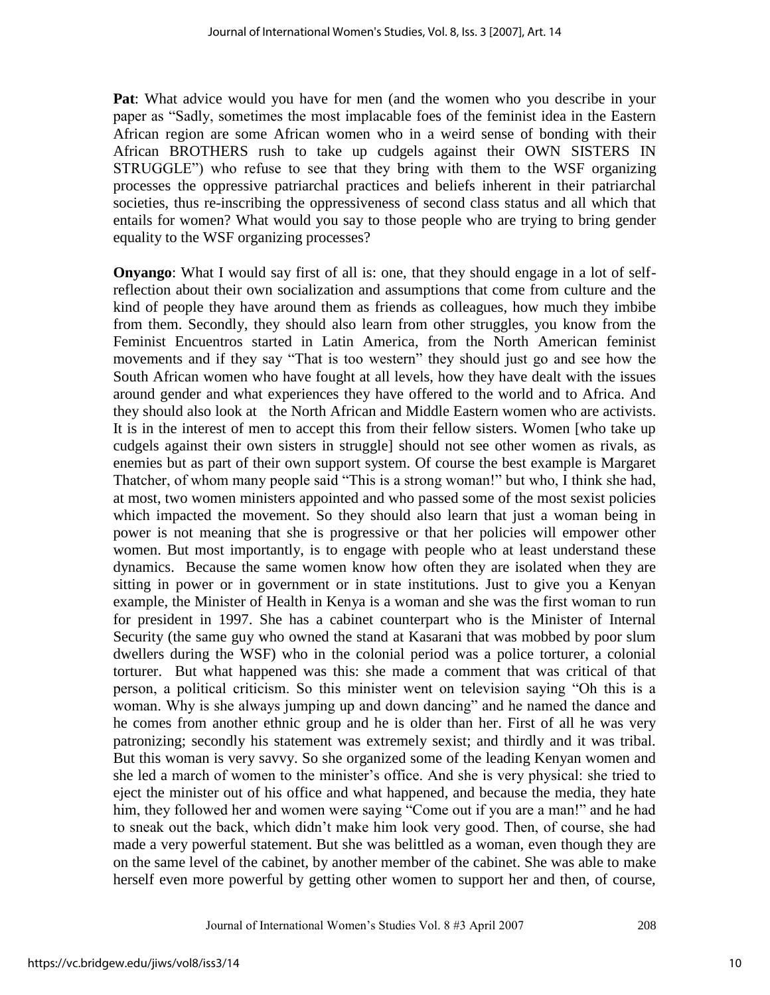**Pat**: What advice would you have for men (and the women who you describe in your paper as "Sadly, sometimes the most implacable foes of the feminist idea in the Eastern African region are some African women who in a weird sense of bonding with their African BROTHERS rush to take up cudgels against their OWN SISTERS IN STRUGGLE") who refuse to see that they bring with them to the WSF organizing processes the oppressive patriarchal practices and beliefs inherent in their patriarchal societies, thus re-inscribing the oppressiveness of second class status and all which that entails for women? What would you say to those people who are trying to bring gender equality to the WSF organizing processes?

**Onyango**: What I would say first of all is: one, that they should engage in a lot of selfreflection about their own socialization and assumptions that come from culture and the kind of people they have around them as friends as colleagues, how much they imbibe from them. Secondly, they should also learn from other struggles, you know from the Feminist Encuentros started in Latin America, from the North American feminist movements and if they say "That is too western" they should just go and see how the South African women who have fought at all levels, how they have dealt with the issues around gender and what experiences they have offered to the world and to Africa. And they should also look at the North African and Middle Eastern women who are activists. It is in the interest of men to accept this from their fellow sisters. Women [who take up cudgels against their own sisters in struggle] should not see other women as rivals, as enemies but as part of their own support system. Of course the best example is Margaret Thatcher, of whom many people said "This is a strong woman!" but who, I think she had, at most, two women ministers appointed and who passed some of the most sexist policies which impacted the movement. So they should also learn that just a woman being in power is not meaning that she is progressive or that her policies will empower other women. But most importantly, is to engage with people who at least understand these dynamics. Because the same women know how often they are isolated when they are sitting in power or in government or in state institutions. Just to give you a Kenyan example, the Minister of Health in Kenya is a woman and she was the first woman to run for president in 1997. She has a cabinet counterpart who is the Minister of Internal Security (the same guy who owned the stand at Kasarani that was mobbed by poor slum dwellers during the WSF) who in the colonial period was a police torturer, a colonial torturer. But what happened was this: she made a comment that was critical of that person, a political criticism. So this minister went on television saying "Oh this is a woman. Why is she always jumping up and down dancing" and he named the dance and he comes from another ethnic group and he is older than her. First of all he was very patronizing; secondly his statement was extremely sexist; and thirdly and it was tribal. But this woman is very savvy. So she organized some of the leading Kenyan women and she led a march of women to the minister's office. And she is very physical: she tried to eject the minister out of his office and what happened, and because the media, they hate him, they followed her and women were saying "Come out if you are a man!" and he had to sneak out the back, which didn't make him look very good. Then, of course, she had made a very powerful statement. But she was belittled as a woman, even though they are on the same level of the cabinet, by another member of the cabinet. She was able to make herself even more powerful by getting other women to support her and then, of course,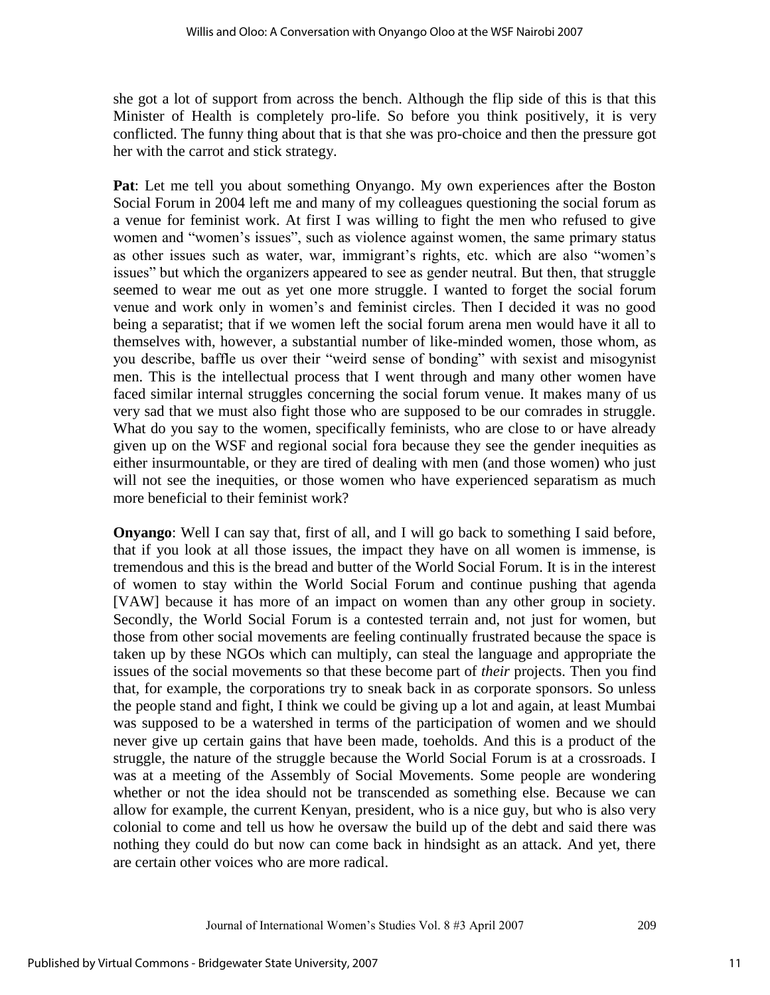she got a lot of support from across the bench. Although the flip side of this is that this Minister of Health is completely pro-life. So before you think positively, it is very conflicted. The funny thing about that is that she was pro-choice and then the pressure got her with the carrot and stick strategy.

**Pat**: Let me tell you about something Onyango. My own experiences after the Boston Social Forum in 2004 left me and many of my colleagues questioning the social forum as a venue for feminist work. At first I was willing to fight the men who refused to give women and "women's issues", such as violence against women, the same primary status as other issues such as water, war, immigrant's rights, etc. which are also "women's issues" but which the organizers appeared to see as gender neutral. But then, that struggle seemed to wear me out as yet one more struggle. I wanted to forget the social forum venue and work only in women's and feminist circles. Then I decided it was no good being a separatist; that if we women left the social forum arena men would have it all to themselves with, however, a substantial number of like-minded women, those whom, as you describe, baffle us over their "weird sense of bonding" with sexist and misogynist men. This is the intellectual process that I went through and many other women have faced similar internal struggles concerning the social forum venue. It makes many of us very sad that we must also fight those who are supposed to be our comrades in struggle. What do you say to the women, specifically feminists, who are close to or have already given up on the WSF and regional social fora because they see the gender inequities as either insurmountable, or they are tired of dealing with men (and those women) who just will not see the inequities, or those women who have experienced separatism as much more beneficial to their feminist work?

**Onyango**: Well I can say that, first of all, and I will go back to something I said before, that if you look at all those issues, the impact they have on all women is immense, is tremendous and this is the bread and butter of the World Social Forum. It is in the interest of women to stay within the World Social Forum and continue pushing that agenda [VAW] because it has more of an impact on women than any other group in society. Secondly, the World Social Forum is a contested terrain and, not just for women, but those from other social movements are feeling continually frustrated because the space is taken up by these NGOs which can multiply, can steal the language and appropriate the issues of the social movements so that these become part of *their* projects. Then you find that, for example, the corporations try to sneak back in as corporate sponsors. So unless the people stand and fight, I think we could be giving up a lot and again, at least Mumbai was supposed to be a watershed in terms of the participation of women and we should never give up certain gains that have been made, toeholds. And this is a product of the struggle, the nature of the struggle because the World Social Forum is at a crossroads. I was at a meeting of the Assembly of Social Movements. Some people are wondering whether or not the idea should not be transcended as something else. Because we can allow for example, the current Kenyan, president, who is a nice guy, but who is also very colonial to come and tell us how he oversaw the build up of the debt and said there was nothing they could do but now can come back in hindsight as an attack. And yet, there are certain other voices who are more radical.